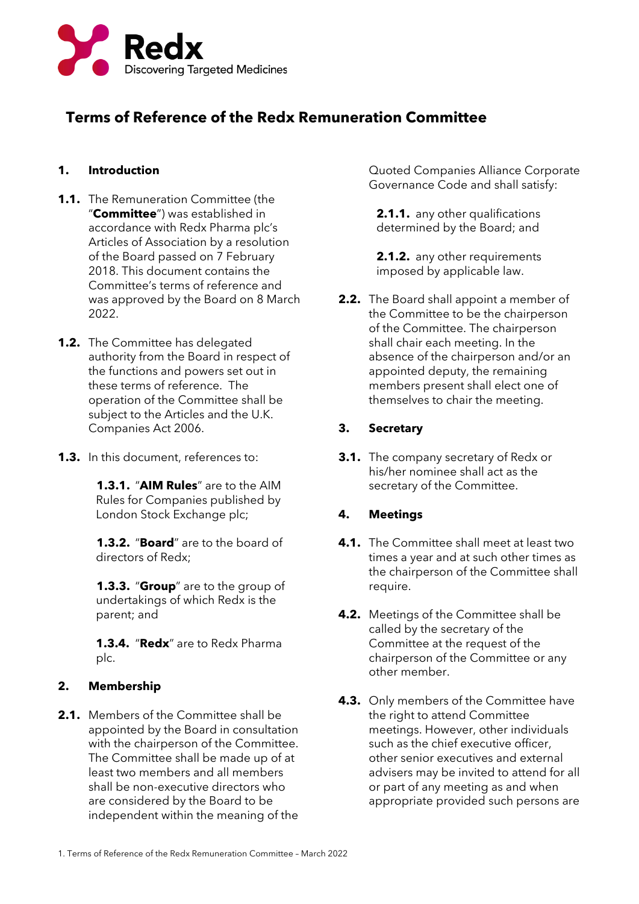

# **Terms of Reference of the Redx Remuneration Committee**

## **1. Introduction**

- **1.1.** The Remuneration Committee (the "**Committee**") was established in accordance with Redx Pharma plc's Articles of Association by a resolution of the Board passed on 7 February 2018. This document contains the Committee's terms of reference and was approved by the Board on 8 March 2022.
- **1.2.** The Committee has delegated authority from the Board in respect of the functions and powers set out in these terms of reference. The operation of the Committee shall be subject to the Articles and the U.K. Companies Act 2006.
- **1.3.** In this document, references to:

**1.3.1.** "**AIM Rules**" are to the AIM Rules for Companies published by London Stock Exchange plc;

**1.3.2.** "**Board**" are to the board of directors of Redx;

**1.3.3.** "**Group**" are to the group of undertakings of which Redx is the parent; and

**1.3.4.** "**Redx**" are to Redx Pharma plc.

## **2. Membership**

**2.1.** Members of the Committee shall be appointed by the Board in consultation with the chairperson of the Committee. The Committee shall be made up of at least two members and all members shall be non-executive directors who are considered by the Board to be independent within the meaning of the

Quoted Companies Alliance Corporate Governance Code and shall satisfy:

**2.1.1.** any other qualifications determined by the Board; and

**2.1.2.** any other requirements imposed by applicable law.

**2.2.** The Board shall appoint a member of the Committee to be the chairperson of the Committee. The chairperson shall chair each meeting. In the absence of the chairperson and/or an appointed deputy, the remaining members present shall elect one of themselves to chair the meeting.

### **3. Secretary**

**3.1.** The company secretary of Redx or his/her nominee shall act as the secretary of the Committee.

### **4. Meetings**

- **4.1.** The Committee shall meet at least two times a year and at such other times as the chairperson of the Committee shall require.
- **4.2.** Meetings of the Committee shall be called by the secretary of the Committee at the request of the chairperson of the Committee or any other member.
- **4.3.** Only members of the Committee have the right to attend Committee meetings. However, other individuals such as the chief executive officer, other senior executives and external advisers may be invited to attend for all or part of any meeting as and when appropriate provided such persons are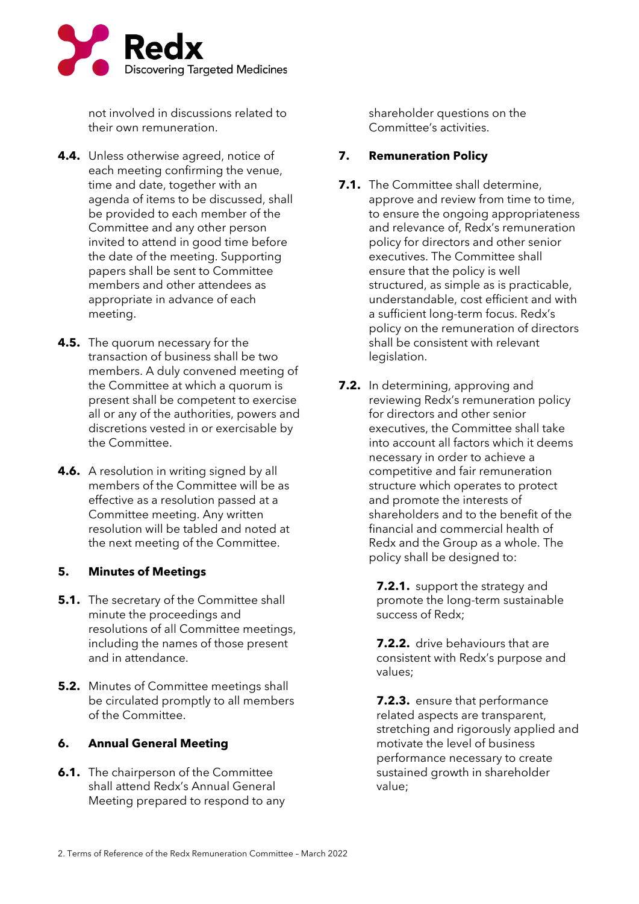

not involved in discussions related to their own remuneration.

- **4.4.** Unless otherwise agreed, notice of each meeting confirming the venue, time and date, together with an agenda of items to be discussed, shall be provided to each member of the Committee and any other person invited to attend in good time before the date of the meeting. Supporting papers shall be sent to Committee members and other attendees as appropriate in advance of each meeting.
- **4.5.** The quorum necessary for the transaction of business shall be two members. A duly convened meeting of the Committee at which a quorum is present shall be competent to exercise all or any of the authorities, powers and discretions vested in or exercisable by the Committee.
- **4.6.** A resolution in writing signed by all members of the Committee will be as effective as a resolution passed at a Committee meeting. Any written resolution will be tabled and noted at the next meeting of the Committee.

#### **5. Minutes of Meetings**

- **5.1.** The secretary of the Committee shall minute the proceedings and resolutions of all Committee meetings, including the names of those present and in attendance.
- **5.2.** Minutes of Committee meetings shall be circulated promptly to all members of the Committee.

#### **6. Annual General Meeting**

**6.1.** The chairperson of the Committee shall attend Redx's Annual General Meeting prepared to respond to any shareholder questions on the Committee's activities.

#### **7. Remuneration Policy**

- **7.1.** The Committee shall determine. approve and review from time to time, to ensure the ongoing appropriateness and relevance of, Redx's remuneration policy for directors and other senior executives. The Committee shall ensure that the policy is well structured, as simple as is practicable, understandable, cost efficient and with a sufficient long-term focus. Redx's policy on the remuneration of directors shall be consistent with relevant legislation.
- **7.2.** In determining, approving and reviewing Redx's remuneration policy for directors and other senior executives, the Committee shall take into account all factors which it deems necessary in order to achieve a competitive and fair remuneration structure which operates to protect and promote the interests of shareholders and to the benefit of the financial and commercial health of Redx and the Group as a whole. The policy shall be designed to:

**7.2.1.** support the strategy and promote the long-term sustainable success of Redx;

**7.2.2.** drive behaviours that are consistent with Redx's purpose and values;

**7.2.3.** ensure that performance related aspects are transparent, stretching and rigorously applied and motivate the level of business performance necessary to create sustained growth in shareholder value;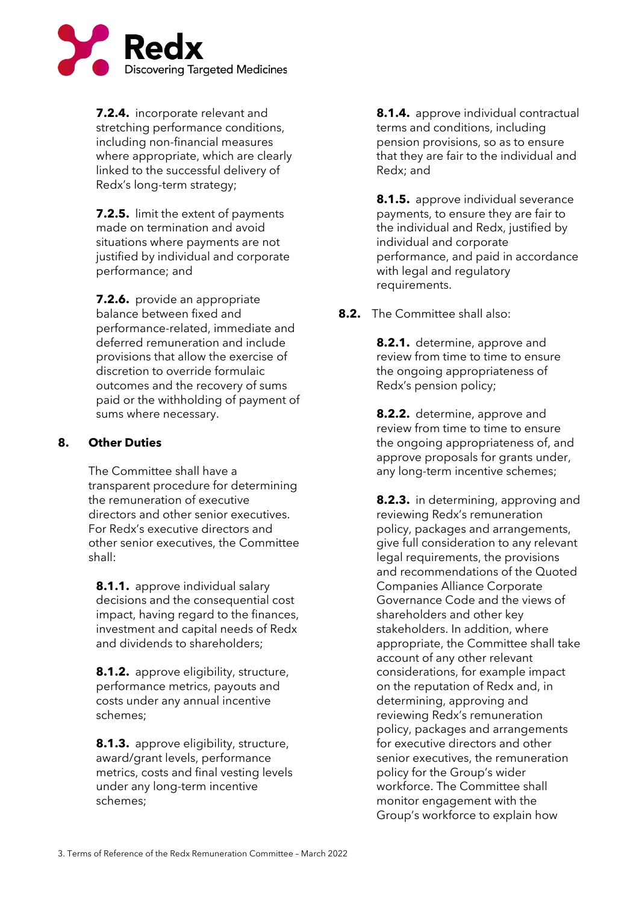

**7.2.4.** incorporate relevant and stretching performance conditions, including non-financial measures where appropriate, which are clearly linked to the successful delivery of Redx's long-term strategy;

**7.2.5.** limit the extent of payments made on termination and avoid situations where payments are not justified by individual and corporate performance; and

**7.2.6.** provide an appropriate balance between fixed and performance-related, immediate and deferred remuneration and include provisions that allow the exercise of discretion to override formulaic outcomes and the recovery of sums paid or the withholding of payment of sums where necessary.

### **8. Other Duties**

The Committee shall have a transparent procedure for determining the remuneration of executive directors and other senior executives. For Redx's executive directors and other senior executives, the Committee shall:

**8.1.1.** approve individual salary decisions and the consequential cost impact, having regard to the finances, investment and capital needs of Redx and dividends to shareholders;

**8.1.2.** approve eligibility, structure, performance metrics, payouts and costs under any annual incentive schemes;

**8.1.3.** approve eligibility, structure, award/grant levels, performance metrics, costs and final vesting levels under any long-term incentive schemes;

**8.1.4.** approve individual contractual terms and conditions, including pension provisions, so as to ensure that they are fair to the individual and Redx; and

**8.1.5.** approve individual severance payments, to ensure they are fair to the individual and Redx, justified by individual and corporate performance, and paid in accordance with legal and regulatory requirements.

**8.2.** The Committee shall also:

**8.2.1.** determine, approve and review from time to time to ensure the ongoing appropriateness of Redx's pension policy;

**8.2.2.** determine, approve and review from time to time to ensure the ongoing appropriateness of, and approve proposals for grants under, any long-term incentive schemes;

**8.2.3.** in determining, approving and reviewing Redx's remuneration policy, packages and arrangements, give full consideration to any relevant legal requirements, the provisions and recommendations of the Quoted Companies Alliance Corporate Governance Code and the views of shareholders and other key stakeholders. In addition, where appropriate, the Committee shall take account of any other relevant considerations, for example impact on the reputation of Redx and, in determining, approving and reviewing Redx's remuneration policy, packages and arrangements for executive directors and other senior executives, the remuneration policy for the Group's wider workforce. The Committee shall monitor engagement with the Group's workforce to explain how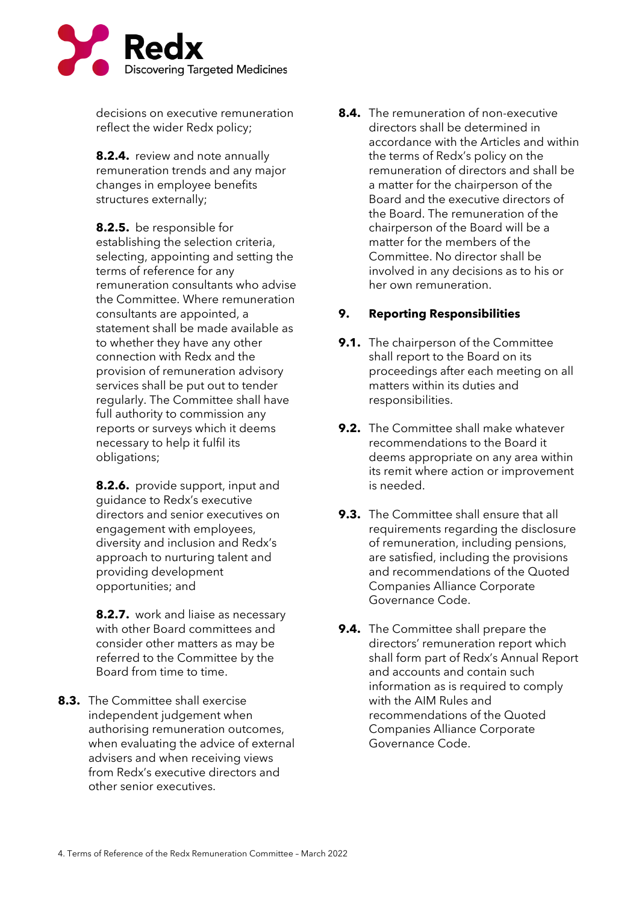

decisions on executive remuneration reflect the wider Redx policy;

**8.2.4.** review and note annually remuneration trends and any major changes in employee benefits structures externally;

**8.2.5.** be responsible for establishing the selection criteria, selecting, appointing and setting the terms of reference for any remuneration consultants who advise the Committee. Where remuneration consultants are appointed, a statement shall be made available as to whether they have any other connection with Redx and the provision of remuneration advisory services shall be put out to tender regularly. The Committee shall have full authority to commission any reports or surveys which it deems necessary to help it fulfil its obligations;

**8.2.6.** provide support, input and guidance to Redx's executive directors and senior executives on engagement with employees, diversity and inclusion and Redx's approach to nurturing talent and providing development opportunities; and

**8.2.7.** work and liaise as necessary with other Board committees and consider other matters as may be referred to the Committee by the Board from time to time.

**8.3.** The Committee shall exercise independent judgement when authorising remuneration outcomes, when evaluating the advice of external advisers and when receiving views from Redx's executive directors and other senior executives.

**8.4.** The remuneration of non-executive directors shall be determined in accordance with the Articles and within the terms of Redx's policy on the remuneration of directors and shall be a matter for the chairperson of the Board and the executive directors of the Board. The remuneration of the chairperson of the Board will be a matter for the members of the Committee. No director shall be involved in any decisions as to his or her own remuneration.

## **9. Reporting Responsibilities**

- **9.1.** The chairperson of the Committee shall report to the Board on its proceedings after each meeting on all matters within its duties and responsibilities.
- **9.2.** The Committee shall make whatever recommendations to the Board it deems appropriate on any area within its remit where action or improvement is needed.
- **9.3.** The Committee shall ensure that all requirements regarding the disclosure of remuneration, including pensions, are satisfied, including the provisions and recommendations of the Quoted Companies Alliance Corporate Governance Code.
- **9.4.** The Committee shall prepare the directors' remuneration report which shall form part of Redx's Annual Report and accounts and contain such information as is required to comply with the AIM Rules and recommendations of the Quoted Companies Alliance Corporate Governance Code.